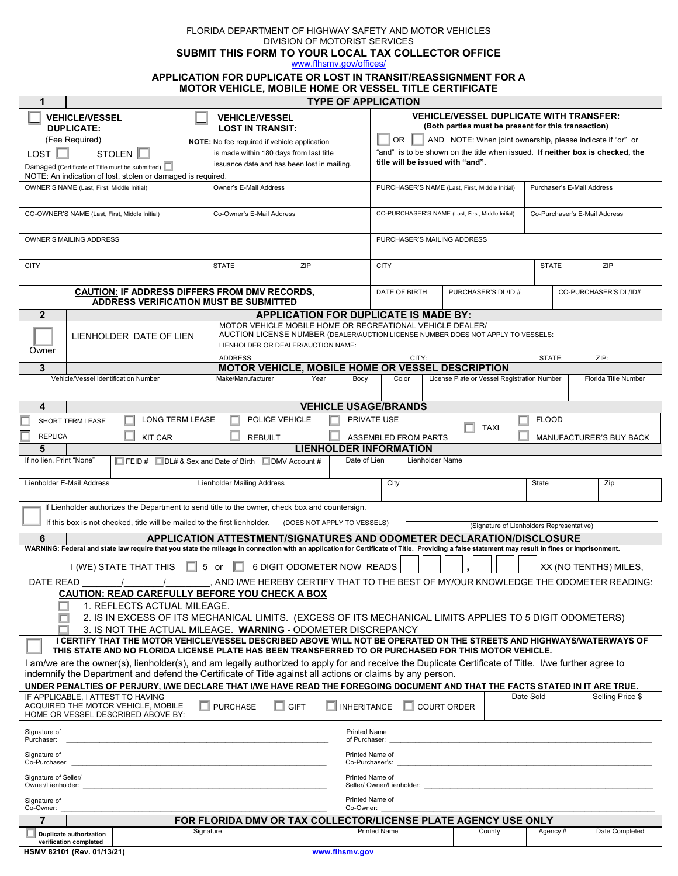FLORIDA DEPARTMENT OF HIGHWAY SAFETY AND MOTOR VEHICLES DIVISION OF MOTORIST SERVICES

 **SUBMIT THIS FORM TO YOUR LOCAL TAX COLLECTOR OFFICE**

[www.flhsmv.gov/offices/](http://www.flhsmv.gov/offices/)

# **APPLICATION FOR DUPLICATE OR LOST IN TRANSIT/REASSIGNMENT FOR A**

| <b>MOTOR VEHICLE, MOBILE HOME OR VESSEL TITLE CERTIFICATE</b>                                                                                                                                                                                                      |                                                                           |                                   |                                                                                                                                                     |                                                     |              |                       |  |
|--------------------------------------------------------------------------------------------------------------------------------------------------------------------------------------------------------------------------------------------------------------------|---------------------------------------------------------------------------|-----------------------------------|-----------------------------------------------------------------------------------------------------------------------------------------------------|-----------------------------------------------------|--------------|-----------------------|--|
| <b>TYPE OF APPLICATION</b><br>1<br><b>VEHICLE/VESSEL DUPLICATE WITH TRANSFER:</b>                                                                                                                                                                                  |                                                                           |                                   |                                                                                                                                                     |                                                     |              |                       |  |
| <b>DUPLICATE:</b>                                                                                                                                                                                                                                                  | <b>VEHICLE/VESSEL</b><br><b>VEHICLE/VESSEL</b><br><b>LOST IN TRANSIT:</b> |                                   |                                                                                                                                                     | (Both parties must be present for this transaction) |              |                       |  |
| (Fee Required)<br>NOTE: No fee required if vehicle application                                                                                                                                                                                                     |                                                                           |                                   | OR .<br>AND NOTE: When joint ownership, please indicate if "or" or<br>"and" is to be shown on the title when issued. If neither box is checked, the |                                                     |              |                       |  |
| LOST<br>STOLEN  <br>is made within 180 days from last title<br>issuance date and has been lost in mailing.<br>Damaged (Certificate of Title must be submitted)                                                                                                     |                                                                           |                                   | title will be issued with "and".                                                                                                                    |                                                     |              |                       |  |
| NOTE: An indication of lost, stolen or damaged is required.                                                                                                                                                                                                        |                                                                           |                                   |                                                                                                                                                     |                                                     |              |                       |  |
| Owner's E-Mail Address<br>OWNER'S NAME (Last, First, Middle Initial)                                                                                                                                                                                               |                                                                           |                                   | PURCHASER'S NAME (Last, First, Middle Initial)<br>Purchaser's E-Mail Address                                                                        |                                                     |              |                       |  |
| CO-OWNER'S NAME (Last, First, Middle Initial)                                                                                                                                                                                                                      | Co-Owner's E-Mail Address                                                 |                                   | CO-PURCHASER'S NAME (Last, First, Middle Initial)<br>Co-Purchaser's E-Mail Address                                                                  |                                                     |              |                       |  |
| OWNER'S MAILING ADDRESS                                                                                                                                                                                                                                            |                                                                           |                                   | PURCHASER'S MAILING ADDRESS                                                                                                                         |                                                     |              |                       |  |
| <b>CITY</b>                                                                                                                                                                                                                                                        | <b>STATE</b>                                                              | ZIP                               | <b>CITY</b>                                                                                                                                         |                                                     | <b>STATE</b> | ZIP                   |  |
| <b>CAUTION: IF ADDRESS DIFFERS FROM DMV RECORDS,</b><br><b>ADDRESS VERIFICATION MUST BE SUBMITTED</b>                                                                                                                                                              |                                                                           |                                   | DATE OF BIRTH                                                                                                                                       | PURCHASER'S DL/ID #                                 |              | CO-PURCHASER'S DL/ID# |  |
| $\mathbf{2}$                                                                                                                                                                                                                                                       |                                                                           |                                   |                                                                                                                                                     |                                                     |              |                       |  |
| APPLICATION FOR DUPLICATE IS MADE BY:<br>MOTOR VEHICLE MOBILE HOME OR RECREATIONAL VEHICLE DEALER/                                                                                                                                                                 |                                                                           |                                   |                                                                                                                                                     |                                                     |              |                       |  |
| AUCTION LICENSE NUMBER (DEALER/AUCTION LICENSE NUMBER DOES NOT APPLY TO VESSELS:<br>LIENHOLDER DATE OF LIEN<br>LIENHOLDER OR DEALER/AUCTION NAME:<br>Owner<br>ADDRESS:<br>CITY:<br>ZIP:<br>STATE:                                                                  |                                                                           |                                   |                                                                                                                                                     |                                                     |              |                       |  |
| 3                                                                                                                                                                                                                                                                  | MOTOR VEHICLE, MOBILE HOME OR VESSEL DESCRIPTION                          |                                   |                                                                                                                                                     |                                                     |              |                       |  |
| Vehicle/Vessel Identification Number                                                                                                                                                                                                                               | Make/Manufacturer                                                         | Year<br>Body                      | Color                                                                                                                                               | License Plate or Vessel Registration Number         |              | Florida Title Number  |  |
| 4                                                                                                                                                                                                                                                                  |                                                                           | <b>VEHICLE USAGE/BRANDS</b>       |                                                                                                                                                     |                                                     |              |                       |  |
| POLICE VEHICLE<br>LONG TERM LEASE<br>PRIVATE USE<br><b>FLOOD</b><br>SHORT TERM LEASE                                                                                                                                                                               |                                                                           |                                   |                                                                                                                                                     |                                                     |              |                       |  |
| <b>TAXI</b><br><b>REPLICA</b><br><b>REBUILT</b><br><b>KIT CAR</b><br>ASSEMBLED FROM PARTS<br>MANUFACTURER'S BUY BACK                                                                                                                                               |                                                                           |                                   |                                                                                                                                                     |                                                     |              |                       |  |
| <b>LIENHOLDER INFORMATION</b><br>5                                                                                                                                                                                                                                 |                                                                           |                                   |                                                                                                                                                     |                                                     |              |                       |  |
| If no lien, Print "None"<br>Date of Lien<br>Lienholder Name<br>$\Box$ FEID # $\Box$ DL# & Sex and Date of Birth $\Box$ DMV Account #                                                                                                                               |                                                                           |                                   |                                                                                                                                                     |                                                     |              |                       |  |
| Lienholder E-Mail Address                                                                                                                                                                                                                                          | <b>Lienholder Mailing Address</b>                                         |                                   | City                                                                                                                                                |                                                     | State        | Zip                   |  |
| If Lienholder authorizes the Department to send title to the owner, check box and countersign.                                                                                                                                                                     |                                                                           |                                   |                                                                                                                                                     |                                                     |              |                       |  |
| If this box is not checked, title will be mailed to the first lienholder.<br>(DOES NOT APPLY TO VESSELS)<br>(Signature of Lienholders Representative)                                                                                                              |                                                                           |                                   |                                                                                                                                                     |                                                     |              |                       |  |
| APPLICATION ATTESTMENT/SIGNATURES AND ODOMETER DECLARATION/DISCLOSURE<br>6                                                                                                                                                                                         |                                                                           |                                   |                                                                                                                                                     |                                                     |              |                       |  |
| WARNING: Federal and state law require that you state the mileage in connection with an application for Certificate of Title. Providing a false statement may result in fines or imprisonment.                                                                     |                                                                           |                                   |                                                                                                                                                     |                                                     |              |                       |  |
| $\Box$ 5 or<br>6 DIGIT ODOMETER NOW READS<br>I (WE) STATE THAT THIS<br>XX (NO TENTHS) MILES,<br>- L.I                                                                                                                                                              |                                                                           |                                   |                                                                                                                                                     |                                                     |              |                       |  |
| AND I/WE HEREBY CERTIFY THAT TO THE BEST OF MY/OUR KNOWLEDGE THE ODOMETER READING:<br>DATE READ                                                                                                                                                                    |                                                                           |                                   |                                                                                                                                                     |                                                     |              |                       |  |
| <b>CAUTION: READ CAREFULLY BEFORE YOU CHECK A BOX</b>                                                                                                                                                                                                              |                                                                           |                                   |                                                                                                                                                     |                                                     |              |                       |  |
| 1. REFLECTS ACTUAL MILEAGE.<br>2. IS IN EXCESS OF ITS MECHANICAL LIMITS. (EXCESS OF ITS MECHANICAL LIMITS APPLIES TO 5 DIGIT ODOMETERS)                                                                                                                            |                                                                           |                                   |                                                                                                                                                     |                                                     |              |                       |  |
| 3. IS NOT THE ACTUAL MILEAGE. WARNING - ODOMETER DISCREPANCY                                                                                                                                                                                                       |                                                                           |                                   |                                                                                                                                                     |                                                     |              |                       |  |
| I CERTIFY THAT THE MOTOR VEHICLE/VESSEL DESCRIBED ABOVE WILL NOT BE OPERATED ON THE STREETS AND HIGHWAYS/WATERWAYS OF<br>THIS STATE AND NO FLORIDA LICENSE PLATE HAS BEEN TRANSFERRED TO OR PURCHASED FOR THIS MOTOR VEHICLE.                                      |                                                                           |                                   |                                                                                                                                                     |                                                     |              |                       |  |
| I am/we are the owner(s), lienholder(s), and am legally authorized to apply for and receive the Duplicate Certificate of Title. I/we further agree to<br>indemnify the Department and defend the Certificate of Title against all actions or claims by any person. |                                                                           |                                   |                                                                                                                                                     |                                                     |              |                       |  |
| UNDER PENALTIES OF PERJURY, I/WE DECLARE THAT I/WE HAVE READ THE FOREGOING DOCUMENT AND THAT THE FACTS STATED IN IT ARE TRUE.                                                                                                                                      |                                                                           |                                   |                                                                                                                                                     |                                                     | Date Sold    |                       |  |
| IF APPLICABLE. I ATTEST TO HAVING<br>ACQUIRED THE MOTOR VEHICLE, MOBILE<br>HOME OR VESSEL DESCRIBED ABOVE BY:                                                                                                                                                      | <b>PURCHASE</b>                                                           | <b>GIFT</b><br><b>INHERITANCE</b> |                                                                                                                                                     | <b>COURT ORDER</b>                                  |              | Selling Price \$      |  |
| Signature of<br><b>Printed Name</b><br>Purchaser:<br>of Purchaser:                                                                                                                                                                                                 |                                                                           |                                   |                                                                                                                                                     |                                                     |              |                       |  |
| Signature of<br>Printed Name of<br>Co-Purchaser:<br>Co-Purchaser's:                                                                                                                                                                                                |                                                                           |                                   |                                                                                                                                                     |                                                     |              |                       |  |
| Signature of Seller/<br>Printed Name of<br>Owner/Lienholder:<br>Seller/ Owner/Lienholder:                                                                                                                                                                          |                                                                           |                                   |                                                                                                                                                     |                                                     |              |                       |  |
| Printed Name of<br>Signature of<br>Co-Owner:<br>Co-Owner:                                                                                                                                                                                                          |                                                                           |                                   |                                                                                                                                                     |                                                     |              |                       |  |
| $\overline{7}$<br>FOR FLORIDA DMV OR TAX COLLECTOR/LICENSE PLATE AGENCY USE ONLY                                                                                                                                                                                   |                                                                           |                                   |                                                                                                                                                     |                                                     |              |                       |  |
| <b>Duplicate authorization</b><br>verification completed                                                                                                                                                                                                           | Signature                                                                 |                                   | <b>Printed Name</b>                                                                                                                                 | County                                              | Agency#      | Date Completed        |  |
| HSMV 82101 (Rev. 01/13/21)                                                                                                                                                                                                                                         |                                                                           | www.flhsmv.gov                    |                                                                                                                                                     |                                                     |              |                       |  |